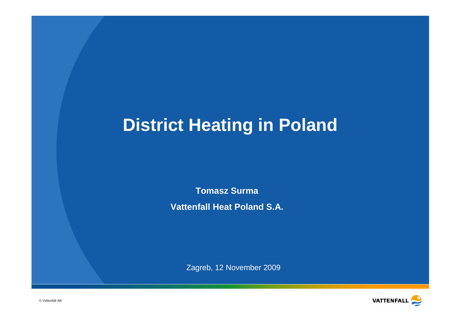# **District Heating in Poland**

**Tomasz SurmaVattenfall Heat Poland S.A.**

Zagreb, 12 November 2009

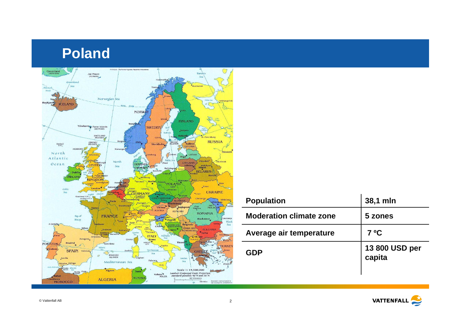### **Poland**



| <b>Population</b>              | 38,1 mln                 |
|--------------------------------|--------------------------|
| <b>Moderation climate zone</b> | 5 zones                  |
| Average air temperature        | $7^{\circ}$ C            |
| <b>GDP</b>                     | 13 800 USD per<br>capita |

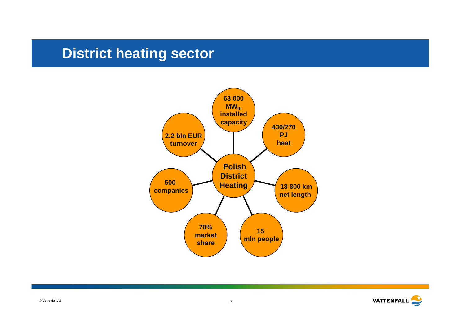#### **District heating sector**



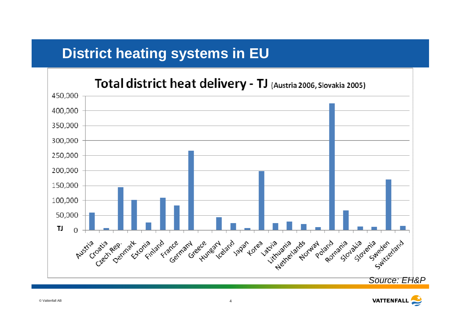### **District heating systems in EU**

#### Total district heat delivery - TJ (Austria 2006, Slovakia 2005)



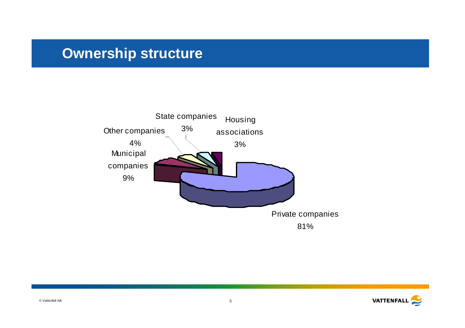#### **Ownership structure**



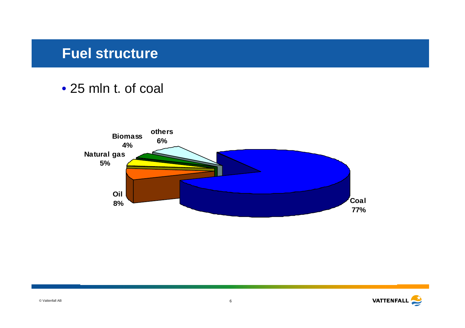### **Fuel structure**

## • 25 mln t. of coal



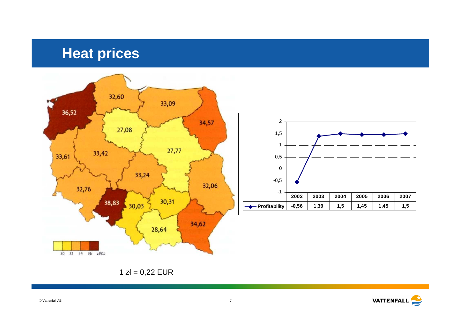## **Heat prices**





1  $z = 0,22$  EUR

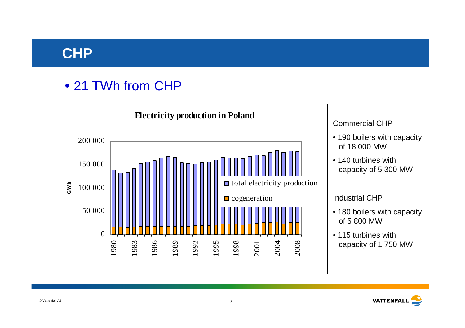### **CHP**

## • 21 TWh from CHP



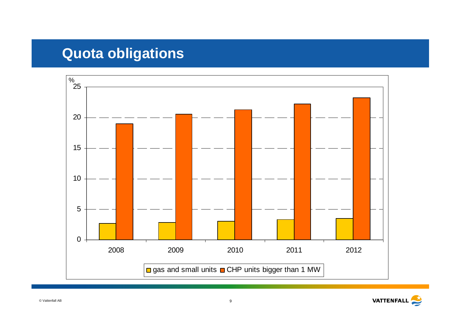## **Quota obligations**



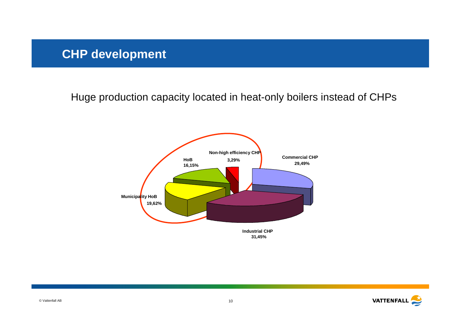Huge production capacity located in heat-only boilers instead of CHPs



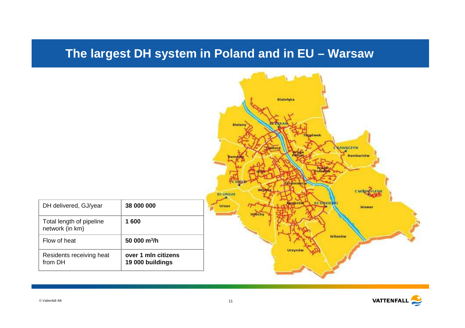#### **The largest DH system in Poland and in EU – Warsaw**



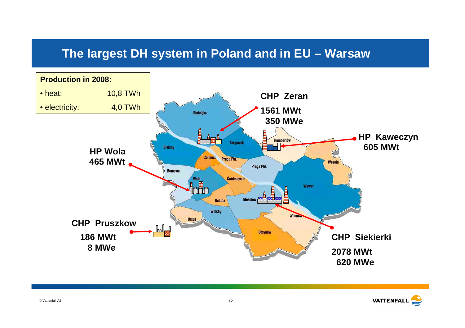#### **The largest DH system in Poland and in EU – Warsaw**



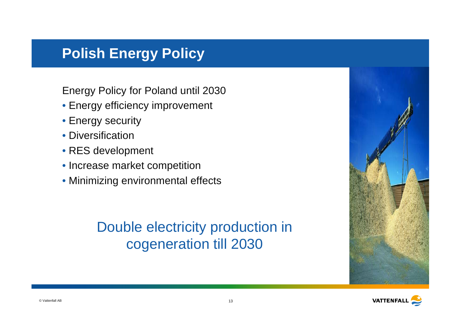#### **Polish Energy Policy**

Energy Policy for Poland until 2030

- Energy efficiency improvement
- Energy security
- Diversification
- RES development
- Increase market competition
- Minimizing environmental effects

## Double electricity production in cogeneration till 2030



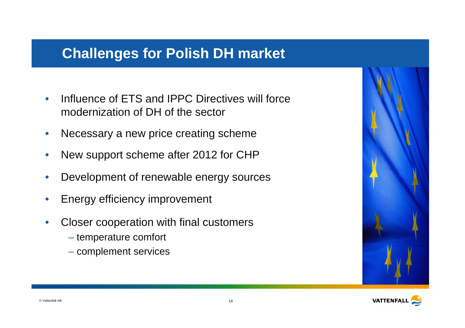#### **Challenges for Polish DH market**

- $\bullet$  Influence of ETS and IPPC Directives will force modernization of DH of the sector
- $\bullet$ Necessary a new price creating scheme
- $\bullet$ New support scheme after 2012 for CHP
- $\bullet$ Development of renewable energy sources
- •Energy efficiency improvement
- $\bullet$  Closer cooperation with final customers
	- temperature comfort
	- complement services